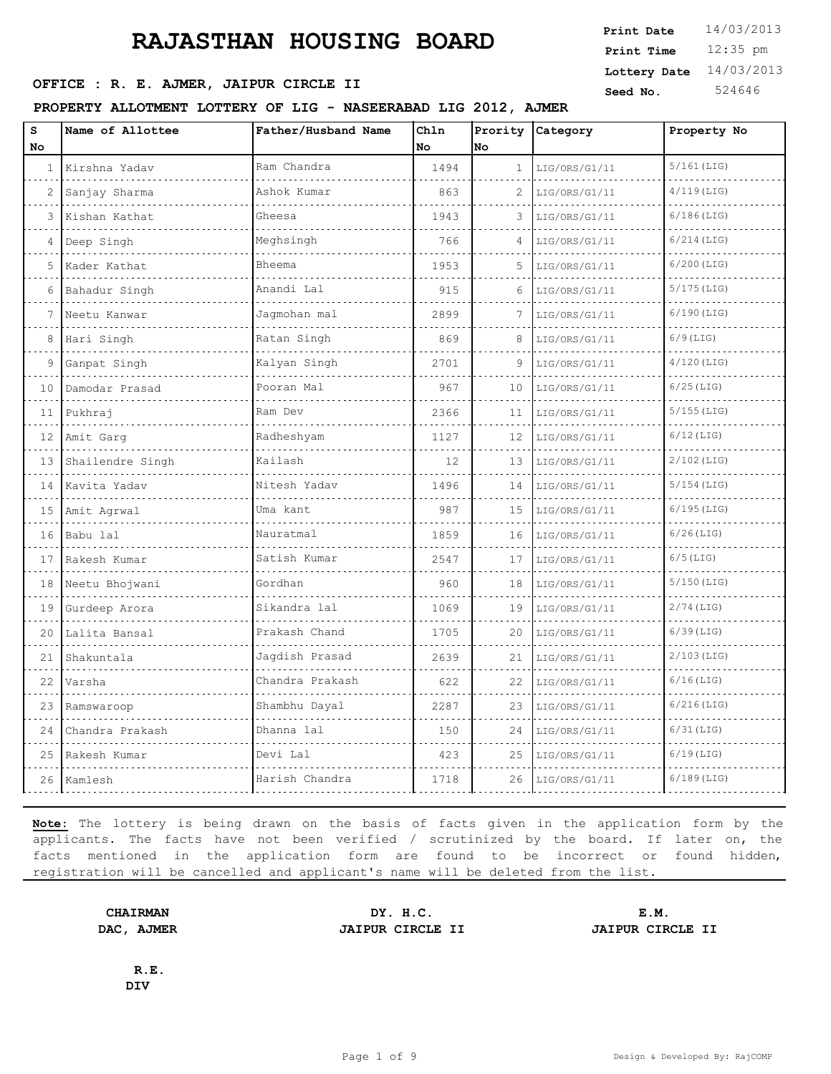### **SEED OFFICE : R. E. AJMER, JAIPUR CIRCLE II Seed No.** 524646

#### **PROPERTY ALLOTMENT LOTTERY OF LIG - NASEERABAD LIG 2012, AJMER**

| s   | Name of Allottee | Father/Husband Name | Ch1n |              | Prority Category | Property No   |
|-----|------------------|---------------------|------|--------------|------------------|---------------|
| No. |                  |                     | No   | No           |                  |               |
| 1   | Kirshna Yadav    | Ram Chandra         | 1494 | $\mathbf{1}$ | LIG/ORS/G1/11    | $5/161$ (LIG) |
| 2   | Sanjay Sharma    | Ashok Kumar         | 863  |              | LIG/ORS/G1/11    | $4/119$ (LIG) |
| 3   | Kishan Kathat    | Gheesa              | 1943 | 3            | LIG/ORS/G1/11    | $6/186$ (LIG) |
| 4   | Deep Singh       | Meghsingh           | 766  | 4            | LIG/ORS/G1/11    | $6/214$ (LIG) |
| 5   | Kader Kathat     | Bheema              | 1953 | 5            | LIG/ORS/G1/11    | $6/200$ (LIG) |
| 6   | Bahadur Singh    | Anandi Lal<br>.     | 915  | 6            | LIG/ORS/G1/11    | $5/175$ (LIG) |
|     | Neetu Kanwar     | Jaqmohan mal        | 2899 |              | LIG/ORS/G1/11    | $6/190$ (LIG) |
| 8   | Hari Singh       | Ratan Singh         | 869  | 8            | LIG/ORS/G1/11    | $6/9$ (LIG)   |
| 9   | Ganpat Singh     | Kalyan Singh        | 2701 | 9            | LIG/ORS/G1/11    | $4/120$ (LIG) |
| 10  | Damodar Prasad   | Pooran Mal          | 967  | 10           | LIG/ORS/G1/11    | $6/25$ (LIG)  |
| 11  | Pukhraj          | Ram Dev             | 2366 | 11           | LIG/ORS/G1/11    | $5/155$ (LIG) |
| 12  | Amit Garg        | Radheshyam          | 1127 | 12           | LIG/ORS/G1/11    | $6/12$ (LIG)  |
| 13  | Shailendre Singh | Kailash             | 12.  | 13           | LIG/ORS/G1/11    | $2/102$ (LIG) |
| 14  | Kavita Yadav     | Nitesh Yadav        | 1496 | 14           | LIG/ORS/G1/11    | $5/154$ (LIG) |
| 15  | Amit Agrwal      | Uma kant            | 987  | 15           | LIG/ORS/G1/11    | $6/195$ (LIG) |
| 16  | Babu lal         | Nauratmal           | 1859 | 16           | LIG/ORS/G1/11    | $6/26$ (LIG)  |
| 17  | Rakesh Kumar     | Satish Kumar        | 2547 | 17           | LIG/ORS/G1/11    | $6/5$ (LIG)   |
| 18  | Neetu Bhojwani   | Gordhan             | 960  | 18           | LIG/ORS/G1/11    | $5/150$ (LIG) |
| 19  | Gurdeep Arora    | Sikandra lal        | 1069 | 19           | LIG/ORS/G1/11    | $2/74$ (LIG)  |
| 2.0 | Lalita Bansal    | Prakash Chand       | 1705 | 20           | LIG/ORS/G1/11    | $6/39$ (LIG)  |
| 2.1 | Shakuntala       | Jagdish Prasad      | 2639 | 21           | LIG/ORS/G1/11    | $2/103$ (LIG) |
| 22  | Varsha           | Chandra Prakash     | 622  | 22           | LIG/ORS/G1/11    | $6/16$ (LIG)  |
| 23  | Ramswaroop       | Shambhu Dayal       | 2287 | 23           | LIG/ORS/G1/11    | $6/216$ (LIG) |
| 24  | Chandra Prakash  | Dhanna lal          | 150  | 24           | LIG/ORS/G1/11    | $6/31$ (LIG)  |
| 25  | Rakesh Kumar     | Devi Lal            | 423  | 25           | LIG/ORS/G1/11    | $6/19$ (LIG)  |
|     |                  |                     |      |              |                  |               |

**Note:** The lottery is being drawn on the basis of facts given in the application form by the applicants. The facts have not been verified / scrutinized by the board. If later on, the facts mentioned in the application form are found to be incorrect or found hidden, registration will be cancelled and applicant's name will be deleted from the list.

26 | Kamlesh | Harish Chandra | 1718 | 26 | LIG/ORS/G1/11 | 6/189(LIG)

**R.E.**

**CHAIRMAN DY. H.C. E.M. DAC, AJMER JAIPUR CIRCLE II JAIPUR CIRCLE II**

**DIV**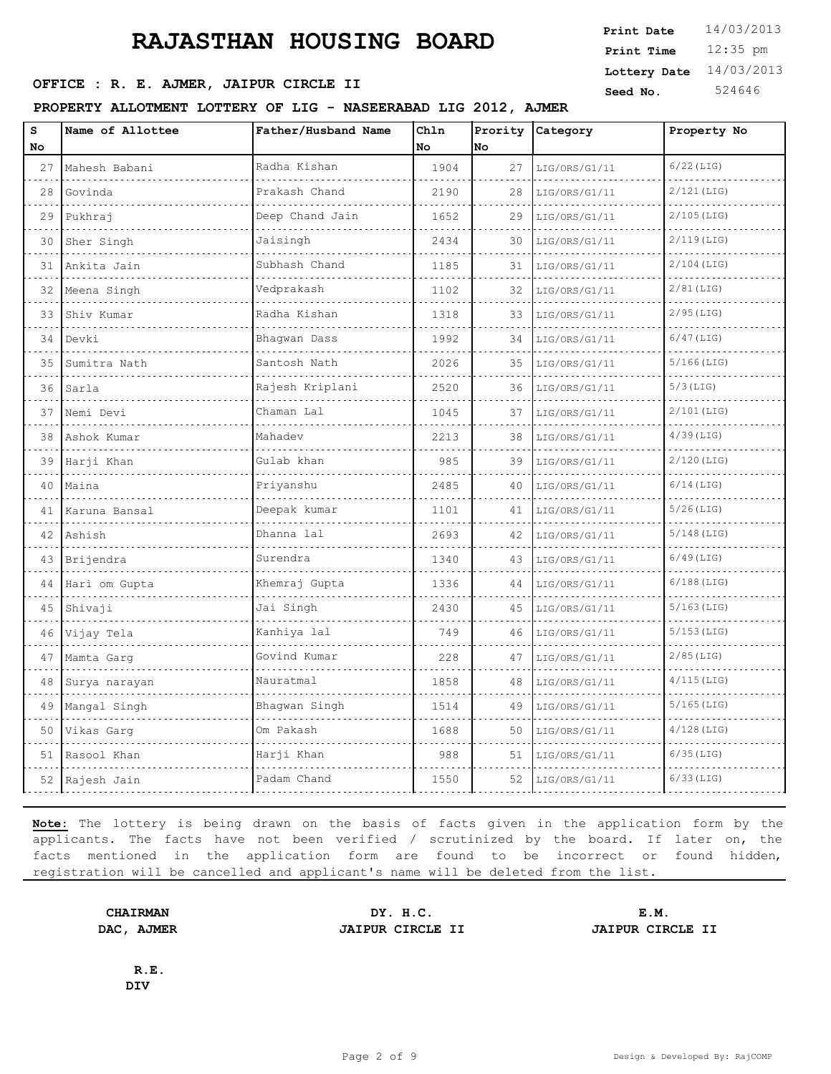### **SEED OFFICE : R. E. AJMER, JAIPUR CIRCLE II Seed No.** 524646

#### **PROPERTY ALLOTMENT LOTTERY OF LIG - NASEERABAD LIG 2012, AJMER**

| s  | Name of Allottee | Father/Husband Name | Chln |    | Prority Category | Property No   |
|----|------------------|---------------------|------|----|------------------|---------------|
| No |                  |                     | No   | No |                  |               |
| 27 | Mahesh Babani    | Radha Kishan        | 1904 | 27 | LIG/ORS/G1/11    | $6/22$ (LIG)  |
| 28 | Govinda          | Prakash Chand       | 2190 | 28 | LIG/ORS/G1/11    | 2/121 (LIG)   |
| 29 | Pukhraj          | Deep Chand Jain     | 1652 | 29 | LIG/ORS/G1/11    | $2/105$ (LIG) |
| 30 | Sher Singh       | Jaisingh            | 2434 | 30 | LIG/ORS/G1/11    | $2/119$ (LIG) |
| 31 | Ankita Jain      | Subhash Chand       | 1185 | 31 | LIG/ORS/G1/11    | $2/104$ (LIG) |
| 32 | Meena Singh      | Vedprakash          | 1102 | 32 | LIG/ORS/G1/11    | $2/81$ (LIG)  |
| 33 | Shiv Kumar       | Radha Kishan        | 1318 | 33 | LIG/ORS/G1/11    | $2/95$ (LIG)  |
| 34 | Devki            | Bhaqwan Dass        | 1992 | 34 | LIG/ORS/G1/11    | $6/47$ (LIG)  |
| 35 | Sumitra Nath     | Santosh Nath        | 2026 | 35 | LIG/ORS/G1/11    | $5/166$ (LIG) |
| 36 | Sarla            | Rajesh Kriplani     | 2520 | 36 | LIG/ORS/G1/11    | $5/3$ (LIG)   |
| 37 | Nemi Devi        | Chaman Lal          | 1045 | 37 | LIG/ORS/G1/11    | $2/101$ (LIG) |
| 38 | Ashok Kumar      | Mahadev             | 2213 | 38 | LIG/ORS/G1/11    | $4/39$ (LIG)  |
| 39 | Harji Khan       | Gulab khan          | 985  | 39 | LIG/ORS/G1/11    | 2/120 (LIG)   |
| 40 | Maina            | Priyanshu           | 2485 | 40 | LIG/ORS/G1/11    | $6/14$ (LIG)  |
| 41 | Karuna Bansal    | Deepak kumar        | 1101 | 41 | LIG/ORS/G1/11    | $5/26$ (LIG)  |
| 42 | Ashish           | Dhanna lal          | 2693 | 42 | LIG/ORS/G1/11    | $5/148$ (LIG) |
| 43 | Brijendra        | Surendra            | 1340 | 43 | LIG/ORS/G1/11    | $6/49$ (LIG)  |
| 44 | Hari om Gupta    | Khemraj Gupta       | 1336 | 44 | LIG/ORS/G1/11    | $6/188$ (LIG) |
| 45 | Shivaji          | Jai Singh           | 2430 | 45 | LIG/ORS/G1/11    | $5/163$ (LIG) |
| 46 | Vijay Tela       | Kanhiya lal         | 749  | 46 | LIG/ORS/G1/11    | $5/153$ (LIG) |
| 47 | Mamta Garg       | Govind Kumar        | 228  | 47 | LIG/ORS/G1/11    | $2/85$ (LIG)  |
| 48 | Surya narayan    | Nauratmal           | 1858 | 48 | LIG/ORS/G1/11    | $4/115$ (LIG) |
| 49 | Mangal Singh     | Bhagwan Singh       | 1514 | 49 | LIG/ORS/G1/11    | $5/165$ (LIG) |
| 50 | Vikas Garg       | Om Pakash           | 1688 | 50 | LIG/ORS/G1/11    | $4/128$ (LIG) |
| 51 | Rasool Khan      | Harji Khan          | 988  | 51 | LIG/ORS/G1/11    | $6/35$ (LIG)  |
|    |                  |                     |      |    |                  |               |

**Note:** The lottery is being drawn on the basis of facts given in the application form by the applicants. The facts have not been verified / scrutinized by the board. If later on, the facts mentioned in the application form are found to be incorrect or found hidden, registration will be cancelled and applicant's name will be deleted from the list.

52 Rajesh Jain Padam Chand 1550 52 LIG/ORS/G1/11 6/33(LIG)

**CHAIRMAN DY. H.C. E.M. DAC, AJMER JAIPUR CIRCLE II JAIPUR CIRCLE II**

**R.E. DIV**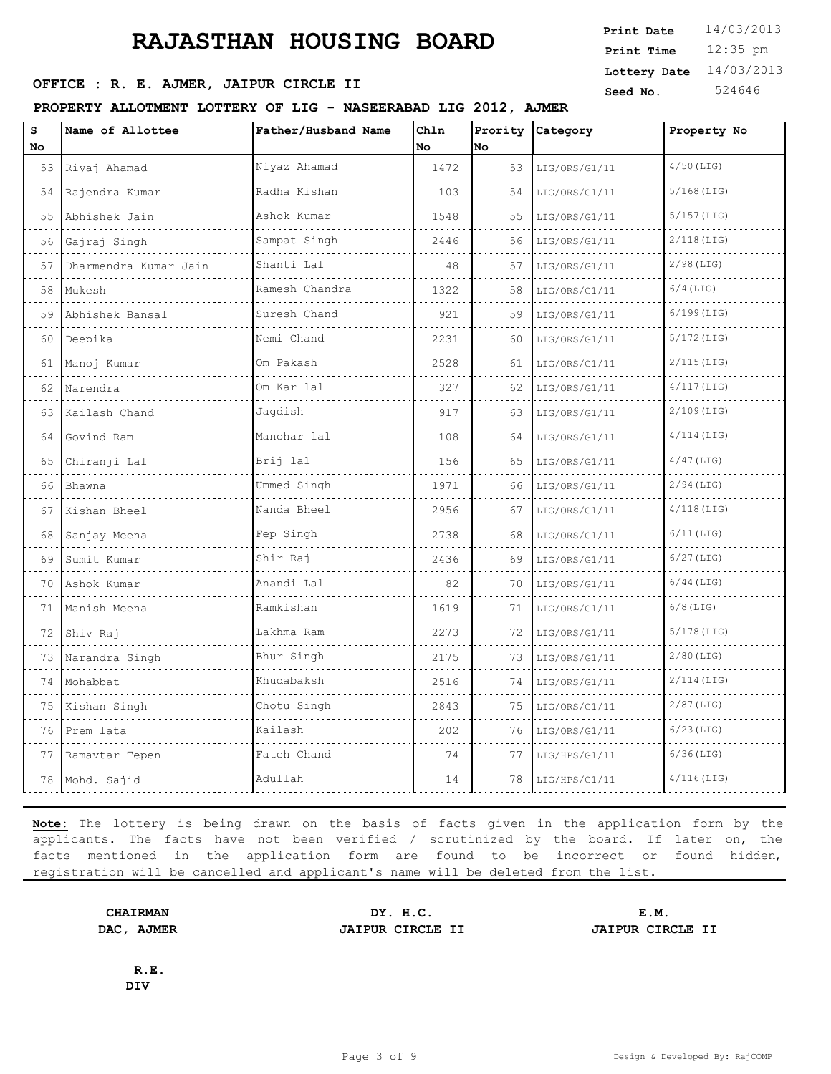## **OFFICE : R. E. AJMER, JAIPUR CIRCLE II** Seed No. 524646

#### **PROPERTY ALLOTMENT LOTTERY OF LIG - NASEERABAD LIG 2012, AJMER**

| s<br>No | Name of Allottee      | Father/Husband Name | Ch1n<br>No | No | Prority Category | Property No   |
|---------|-----------------------|---------------------|------------|----|------------------|---------------|
|         | 53 Riyaj Ahamad       | Niyaz Ahamad        | 1472       | 53 | LIG/ORS/G1/11    | $4/50$ (LIG)  |
| 54      | Rajendra Kumar        | Radha Kishan<br>.   | 103        | 54 | LIG/ORS/G1/11    | $5/168$ (LIG) |
| 55      | Abhishek Jain         | Ashok Kumar         | 1548       | 55 | LIG/ORS/G1/11    | $5/157$ (LIG) |
| 56      | Gajraj Singh          | Sampat Singh        | 2446       | 56 | LIG/ORS/G1/11    | $2/118$ (LIG) |
| 57      | Dharmendra Kumar Jain | Shanti Lal          | 48         | 57 | LIG/ORS/G1/11    | $2/98$ (LIG)  |
| 58      | Mukesh                | Ramesh Chandra      | 1322       | 58 | LIG/ORS/G1/11    | $6/4$ (LIG)   |
| 59      | Abhishek Bansal       | Suresh Chand        | 921        | 59 | LIG/ORS/G1/11    | $6/199$ (LIG) |
| 60      | Deepika               | Nemi Chand<br>.     | 2231       | 60 | LIG/ORS/G1/11    | 5/172 (LIG)   |
| 61      | Manoj Kumar           | Om Pakash           | 2528       | 61 | LIG/ORS/G1/11    | $2/115$ (LIG) |
| 62      | Narendra              | Om Kar lal          | 327        | 62 | LIG/ORS/G1/11    | $4/117$ (LIG) |
| 63      | Kailash Chand         | Jaqdish             | 917        | 63 | LIG/ORS/G1/11    | $2/109$ (LIG) |
| 64      | Govind Ram            | Manohar lal         | 108        | 64 | LIG/ORS/G1/11    | $4/114$ (LIG) |
| 65      | Chiranji Lal          | Brij lal            | 156        | 65 | LIG/ORS/G1/11    | $4/47$ (LIG)  |
| 66      | Bhawna                | Ummed Singh         | 1971       | 66 | LIG/ORS/G1/11    | $2/94$ (LIG)  |
| 67      | Kishan Bheel          | Nanda Bheel         | 2956       | 67 | LIG/ORS/G1/11    | $4/118$ (LIG) |
| 68      | Sanjay Meena          | Fep Singh           | 2738       | 68 | LIG/ORS/G1/11    | $6/11$ (LIG)  |
| 69      | Sumit Kumar           | Shir Raj            | 2436       | 69 | LIG/ORS/G1/11    | $6/27$ (LIG)  |
| 70      | Ashok Kumar           | Anandi Lal          | 82         | 70 | LIG/ORS/G1/11    | $6/44$ (LIG)  |
| 71      | Manish Meena          | Ramkishan           | 1619       | 71 | LIG/ORS/G1/11    | $6/8$ (LIG)   |
| 72      | Shiv Raj              | Lakhma Ram          | 2273       | 72 | LIG/ORS/G1/11    | $5/178$ (LIG) |
| 73      | Narandra Singh        | Bhur Singh          | 2175       | 73 | LIG/ORS/G1/11    | $2/80$ (LIG)  |
| 74      | Mohabbat              | Khudabaksh<br>.     | 2516       | 74 | LIG/ORS/G1/11    | $2/114$ (LIG) |
| 75      | Kishan Singh          | Chotu Singh         | 2843       | 75 | LIG/ORS/G1/11    | $2/87$ (LIG)  |
| 76      | Prem lata             | Kailash             | 202        | 76 | LIG/ORS/G1/11    | $6/23$ (LIG)  |
| 77      | Ramavtar Tepen        | Fateh Chand         | 74         | 77 | LIG/HPS/G1/11    | $6/36$ (LIG)  |
| 78      | Mohd. Sajid           | Adullah             | 14         | 78 | LIG/HPS/G1/11    | $4/116$ (LIG) |

**Note:** The lottery is being drawn on the basis of facts given in the application form by the applicants. The facts have not been verified / scrutinized by the board. If later on, the facts mentioned in the application form are found to be incorrect or found hidden, registration will be cancelled and applicant's name will be deleted from the list.

**CHAIRMAN DY. H.C. E.M. DAC, AJMER JAIPUR CIRCLE II JAIPUR CIRCLE II**

**R.E. DIV**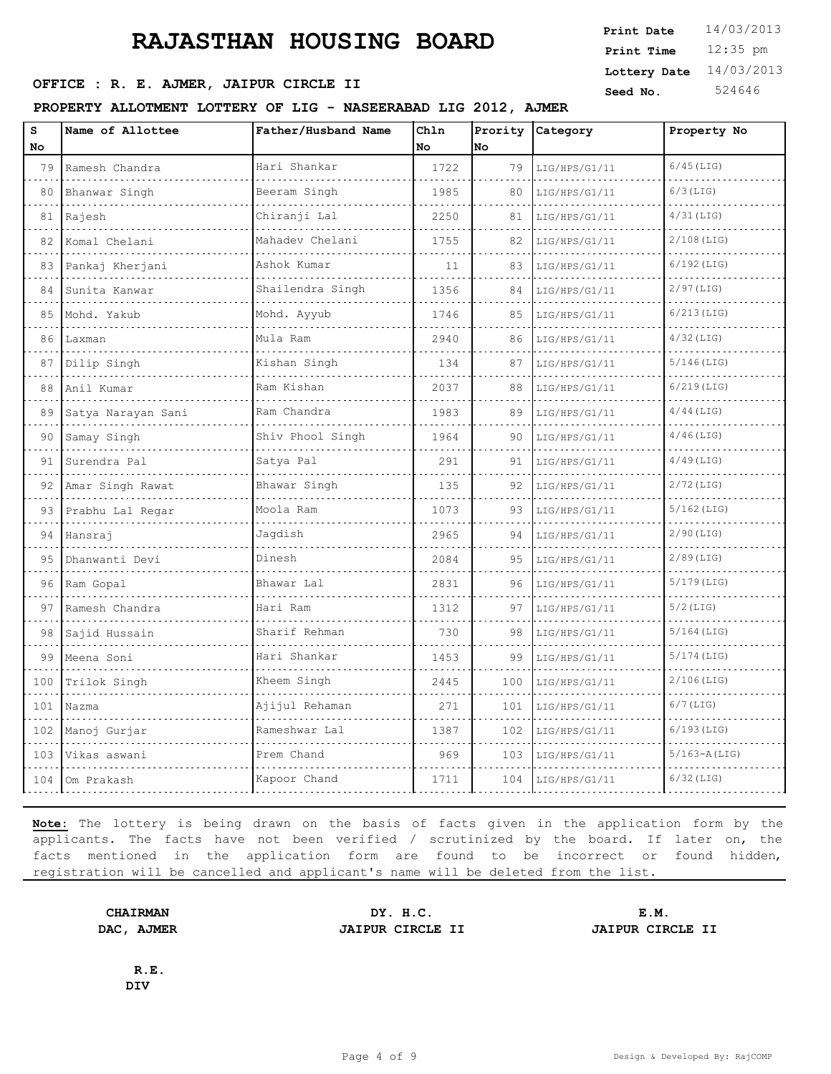### **SEED OFFICE : R. E. AJMER, JAIPUR CIRCLE II** Seed No. 524646

#### **PROPERTY ALLOTMENT LOTTERY OF LIG - NASEERABAD LIG 2012, AJMER**

| s   | Name of Allottee   | Father/Husband Name | Chln |     | Prority Category | Property No      |
|-----|--------------------|---------------------|------|-----|------------------|------------------|
| No  |                    |                     | No   | No. |                  |                  |
| 79  | Ramesh Chandra     | Hari Shankar        | 1722 | 79  | LIG/HPS/G1/11    | $6/45$ (LIG)     |
| 80  | Bhanwar Singh      | Beeram Singh        | 1985 | 80  | LIG/HPS/G1/11    | $6/3$ (LIG)      |
| 81  | Rajesh             | Chiranji Lal        | 2250 | 81  | LIG/HPS/G1/11    | $4/31$ (LIG)     |
| 82  | Komal Chelani      | Mahadev Chelani     | 1755 | 82  | LIG/HPS/G1/11    | $2/108$ (LIG)    |
| 83  | Pankaj Kherjani    | Ashok Kumar         | 11   | 83  | LIG/HPS/G1/11    | $6/192$ (LIG)    |
| 84  | Sunita Kanwar      | Shailendra Singh    | 1356 | 84  | LIG/HPS/G1/11    | $2/97$ (LIG)     |
| 85  | Mohd. Yakub        | Mohd. Ayyub         | 1746 | 85  | LIG/HPS/G1/11    | $6/213$ (LIG)    |
| 86  | Laxman             | Mula Ram            | 2940 | 86  | LIG/HPS/G1/11    | $4/32$ (LIG)     |
| 87  | Dilip Singh        | Kishan Singh        | 134  | 87  | LIG/HPS/G1/11    | $5/146$ (LIG)    |
| 88  | Anil Kumar         | Ram Kishan          | 2037 | 88  | LIG/HPS/G1/11    | $6/219$ (LIG)    |
| 89  | Satya Narayan Sani | Ram Chandra         | 1983 | 89  | LIG/HPS/G1/11    | $4/44$ (LIG)     |
| 90  | Samay Singh        | Shiv Phool Singh    | 1964 | 90  | LIG/HPS/G1/11    | $4/46$ (LIG)     |
| 91  | Surendra Pal       | Satya Pal           | 291  | 91  | LIG/HPS/G1/11    | $4/49$ (LIG)     |
| 92  | Amar Singh Rawat   | Bhawar Singh        | 135  | 92  | LIG/HPS/G1/11    | $2/72$ (LIG)     |
| 93  | Prabhu Lal Regar   | Moola Ram           | 1073 | 93  | LIG/HPS/G1/11    | $5/162$ (LIG)    |
| 94  | Hansraj            | Jagdish             | 2965 | 94  | LIG/HPS/G1/11    | $2/90$ (LIG)     |
| 95  | Dhanwanti Devi     | Dinesh              | 2084 | 95  | LIG/HPS/G1/11    | $2/89$ (LIG)     |
| 96  | Ram Gopal          | Bhawar Lal          | 2831 | 96  | LIG/HPS/G1/11    | $5/179$ (LIG)    |
| 97  | Ramesh Chandra     | Hari Ram            | 1312 | 97  | LIG/HPS/G1/11    | $5/2$ (LIG)      |
| 98  | Sajid Hussain      | Sharif Rehman       | 730  | 98  | LIG/HPS/G1/11    | $5/164$ (LIG)    |
| 99  | Meena Soni         | Hari Shankar        | 1453 | 99  | LIG/HPS/G1/11    | $5/174$ (LIG)    |
| 100 | Trilok Singh       | Kheem Singh         | 2445 | 100 | LIG/HPS/G1/11    | $2/106$ (LIG)    |
| 101 | Nazma              | Ajijul Rehaman      | 271  | 101 | LIG/HPS/G1/11    | $6/7$ (LIG)      |
| 102 | Manoj Gurjar       | Rameshwar Lal       | 1387 | 102 | LIG/HPS/G1/11    | $6/193$ (LIG)    |
| 103 | Vikas aswani       | Prem Chand          | 969  | 103 | LIG/HPS/G1/11    | $5/163 - A(LIG)$ |
| 104 | Om Prakash         | Kapoor Chand        | 1711 | 104 | LIG/HPS/G1/11    | $6/32$ (LIG)     |
|     |                    |                     |      |     |                  |                  |

**Note:** The lottery is being drawn on the basis of facts given in the application form by the applicants. The facts have not been verified / scrutinized by the board. If later on, the facts mentioned in the application form are found to be incorrect or found hidden, registration will be cancelled and applicant's name will be deleted from the list.

**DAC, AJMER JAIPUR CIRCLE II JAIPUR CIRCLE II**

**CHAIRMAN DY. H.C. E.M.**

**R.E. DIV**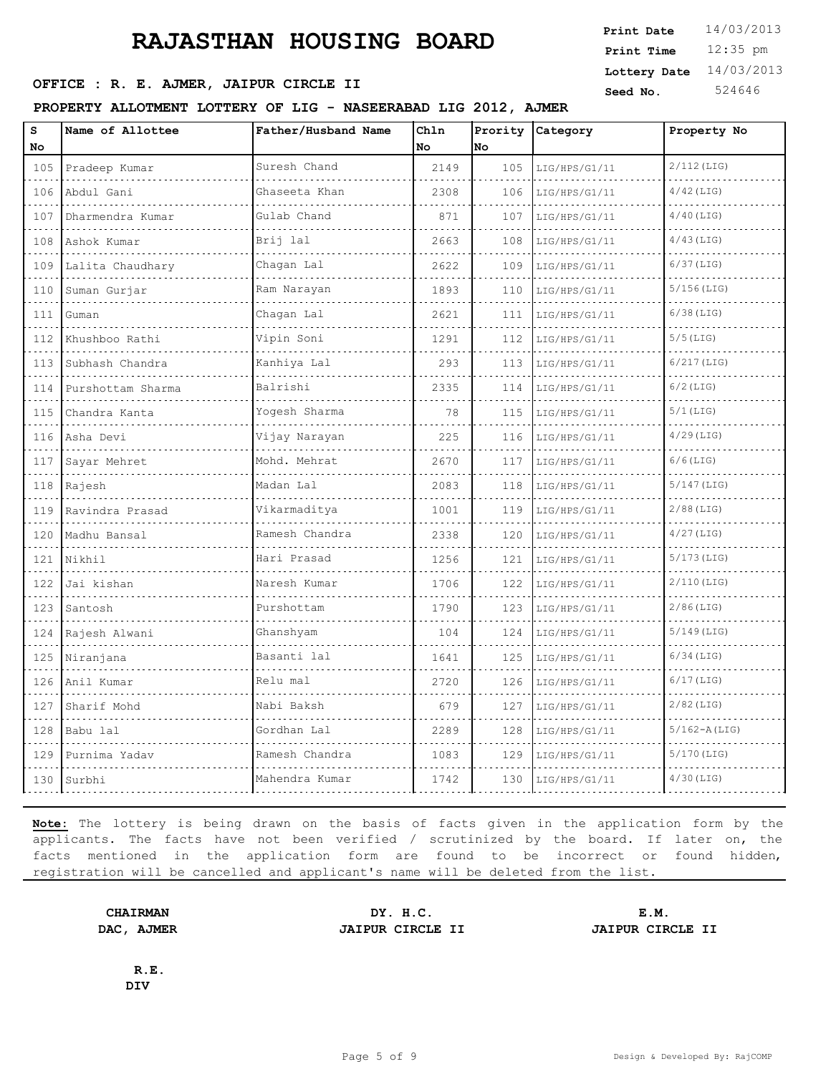### **OFFICE : R. E. AJMER, JAIPUR CIRCLE II** Seed No. 524646

#### **PROPERTY ALLOTMENT LOTTERY OF LIG - NASEERABAD LIG 2012, AJMER**

| s              | Name of Allottee  | Father/Husband Name | Chln |     | Prority Category | Property No   |
|----------------|-------------------|---------------------|------|-----|------------------|---------------|
| No             |                   |                     | No.  | No  |                  |               |
| 105            | Pradeep Kumar     | Suresh Chand        | 2149 | 105 | LIG/HPS/G1/11    | $2/112$ (LIG) |
| 106            | Abdul Gani        | Ghaseeta Khan       | 2308 | 106 | LIG/HPS/G1/11    | $4/42$ (LIG)  |
| 107            | Dharmendra Kumar  | Gulab Chand         | 871  | 107 | LIG/HPS/G1/11    | $4/40$ (LIG)  |
| 108            | Ashok Kumar       | Brij lal            | 2663 | 108 | LIG/HPS/G1/11    | $4/43$ (LIG)  |
| 109            | Lalita Chaudhary  | Chaqan Lal          | 2622 | 109 | LIG/HPS/G1/11    | $6/37$ (LIG)  |
| 110            | Suman Gurjar      | Ram Narayan<br>.    | 1893 | 110 | LIG/HPS/G1/11    | 5/156(LIG)    |
| 111            | Guman             | Chagan Lal          | 2621 | 111 | LIG/HPS/G1/11    | 6/38(LIG)     |
| 112            | Khushboo Rathi    | Vipin Soni          | 1291 | 112 | LIG/HPS/G1/11    | $5/5$ (LIG)   |
| 113            | Subhash Chandra   | Kanhiya Lal         | 293  | 113 | LIG/HPS/G1/11    | $6/217$ (LIG) |
| 114            | Purshottam Sharma | Balrishi            | 2335 | 114 | LIG/HPS/G1/11    | $6/2$ (LIG)   |
| 115            | Chandra Kanta     | Yogesh Sharma       | 78   | 115 | LIG/HPS/G1/11    | $5/1$ (LIG)   |
| 116            | Asha Devi         | Vijay Narayan       | 225  | 116 | LIG/HPS/G1/11    | $4/29$ (LIG)  |
| 117            | Sayar Mehret      | Mohd. Mehrat        | 2670 | 117 | LIG/HPS/G1/11    | 6/6(LIG)      |
| 118            | Rajesh            | Madan Lal           | 2083 | 118 | LIG/HPS/G1/11    | $5/147$ (LIG) |
| 119            | Ravindra Prasad   | Vikarmaditya        | 1001 | 119 | LIG/HPS/G1/11    | $2/88$ (LIG)  |
| 120            | Madhu Bansal      | Ramesh Chandra      | 2338 | 120 | LIG/HPS/G1/11    | $4/27$ (LIG)  |
| 121            | Nikhil            | Hari Prasad         | 1256 | 121 | LIG/HPS/G1/11    | $5/173$ (LIG) |
| 122            | Jai kishan        | Naresh Kumar        | 1706 | 122 | LIG/HPS/G1/11    | $2/110$ (LIG) |
| and and<br>123 | Santosh           | Purshottam          | 1790 | 123 | LIG/HPS/G1/11    | $2/86$ (LIG)  |
| 124            | Rajesh Alwani     | Ghanshyam           | 104  | 124 | LIG/HPS/G1/11    | $5/149$ (LIG) |
| 125            | Niranjana         | Basanti lal         | 1641 | 125 | LIG/HPS/G1/11    | $6/34$ (LIG)  |
| 126            | Anil Kumar        | Relu mal            | 2720 | 126 | LIG/HPS/G1/11    | $6/17$ (LIG)  |
| 127            | Sharif Mohd       | Nabi Baksh          | 679  | 127 | LIG/HPS/G1/11    | $2/82$ (LIG)  |
| 128            | Babu lal          | Gordhan Lal         | 2289 | 128 | LIG/HPS/G1/11    | 5/162-A(LIG)  |
| 129            | Purnima Yadav     | Ramesh Chandra      | 1083 | 129 | LIG/HPS/G1/11    | 5/170 (LIG)   |
|                |                   |                     |      |     |                  |               |

**Note:** The lottery is being drawn on the basis of facts given in the application form by the applicants. The facts have not been verified / scrutinized by the board. If later on, the facts mentioned in the application form are found to be incorrect or found hidden, registration will be cancelled and applicant's name will be deleted from the list.

130 Surbhi Mahendra Kumar 1742 130 LIG/HPS/G1/11 4/30(LIG)

**DAC, AJMER JAIPUR CIRCLE II JAIPUR CIRCLE II**

**CHAIRMAN DY. H.C. E.M.**

**R.E. DIV**

12:35 pm **Print Date**  $14/03/2013$ **Print Time Lottery Date** 14/03/2013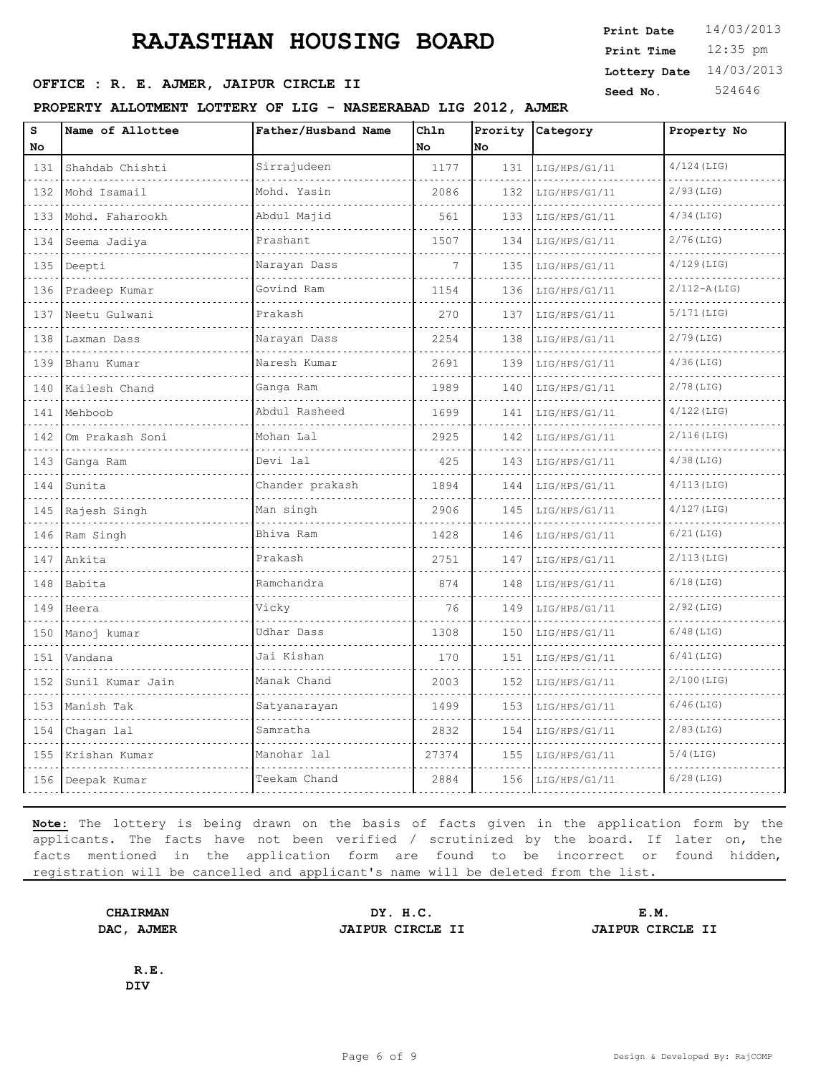## **OFFICE : R. E. AJMER, JAIPUR CIRCLE II** Seed No. 524646

#### **PROPERTY ALLOTMENT LOTTERY OF LIG - NASEERABAD LIG 2012, AJMER**

| s<br>No                                                                                                                                                         | Name of Allottee | Father/Husband Name      | Ch1n<br>No | No  | Prority Category | Property No      |
|-----------------------------------------------------------------------------------------------------------------------------------------------------------------|------------------|--------------------------|------------|-----|------------------|------------------|
| 131                                                                                                                                                             | Shahdab Chishti  | Sirrajudeen              | 1177       | 131 | LIG/HPS/G1/11    | $4/124$ (LIG)    |
| 132                                                                                                                                                             | Mohd Isamail     | Mohd. Yasin              | 2086       | 132 | LIG/HPS/G1/11    | $2/93$ (LIG)     |
| 133                                                                                                                                                             | Mohd. Faharookh  | Abdul Majid              | 561        | 133 | LIG/HPS/G1/11    | $4/34$ (LIG)     |
| $\sim$ $\sim$ $\sim$ $\sim$<br>134                                                                                                                              | Seema Jadiya     | Prashant                 | 1507       | 134 | LIG/HPS/G1/11    | $2/76$ (LIG)     |
| $  -$<br>135                                                                                                                                                    | Deepti           | Narayan Dass             | 7          | 135 | LIG/HPS/G1/11    | $4/129$ (LIG)    |
| $  -$<br>136                                                                                                                                                    | Pradeep Kumar    | Govind Ram               | 1154       | 136 | LIG/HPS/G1/11    | $2/112 - A(LIG)$ |
| 137                                                                                                                                                             | Neetu Gulwani    | Prakash                  | 270        | 137 | LIG/HPS/G1/11    | $5/171$ (LIG)    |
| 138                                                                                                                                                             | Laxman Dass      | Narayan Dass             | 2254       | 138 | LIG/HPS/G1/11    | $2/79$ (LIG)     |
| $\sim 100$ km s $^{-1}$<br>139                                                                                                                                  | Bhanu Kumar      | Naresh Kumar             | 2691       | 139 | LIG/HPS/G1/11    | $4/36$ (LIG)     |
| $\cdots$<br>140                                                                                                                                                 | Kailesh Chand    | Ganga Ram                | 1989       | 140 | LIG/HPS/G1/11    | $2/78$ (LIG)     |
| $\sim$ $\sim$ $\sim$ $\sim$<br>141                                                                                                                              | Mehboob          | Abdul Rasheed            | 1699       | 141 | LIG/HPS/G1/11    | $4/122$ (LIG)    |
| 142                                                                                                                                                             | Om Prakash Soni  | Mohan Lal                | 2925       | 142 | LIG/HPS/G1/11    | $2/116$ (LIG)    |
| $  -$<br>143<br>$\sim$ $\sim$ $\sim$ $\sim$                                                                                                                     | Ganga Ram        | Devi lal                 | 425        | 143 | LIG/HPS/G1/11    | $4/38$ (LIG)     |
| 144                                                                                                                                                             | Sunita           | Chander prakash          | 1894       | 144 | LIG/HPS/G1/11    | $4/113$ (LIG)    |
| $\sim$ $\sim$ $\sim$<br>145<br>$\sim$ $\sim$ $\sim$ $\sim$                                                                                                      | Rajesh Singh     | Man singh                | 2906       | 145 | LIG/HPS/G1/11    | $4/127$ (LIG)    |
| 146                                                                                                                                                             | Ram Singh        | Bhiva Ram                | 1428       | 146 | LIG/HPS/G1/11    | $6/21$ (LIG)     |
| 147                                                                                                                                                             | Ankita           | Prakash                  | 2751       | 147 | LIG/HPS/G1/11    | $2/113$ (LIG)    |
| $\sim$ $\sim$ $\sim$ $\sim$<br>148                                                                                                                              | Babita           | Ramchandra               | 874        | 148 | LIG/HPS/G1/11    | $6/18$ (LIG)     |
| $\frac{1}{2} \left( \frac{1}{2} \right) \left( \frac{1}{2} \right) \left( \frac{1}{2} \right) \left( \frac{1}{2} \right)$<br>149                                | Heera            | Vicky                    | 76         | 149 | LIG/HPS/G1/11    | $2/92$ (LIG)     |
| 150<br>$\sim 100$ km s $^{-1}$                                                                                                                                  | Manoj kumar      | Udhar Dass               | 1308       | 150 | LIG/HPS/G1/11    | $6/48$ (LIG)     |
| 151<br>$\sim$ $\sim$ $\sim$ $\sim$                                                                                                                              | Vandana          | Jai Kishan<br>1.11111111 | 170        | 151 | LIG/HPS/G1/11    | $6/41$ (LIG)     |
| 152                                                                                                                                                             | Sunil Kumar Jain | Manak Chand              | 2003       | 152 | LIG/HPS/G1/11    | $2/100$ (LIG)    |
| $\frac{1}{2} \left( \frac{1}{2} \right) \left( \frac{1}{2} \right) \left( \frac{1}{2} \right) \left( \frac{1}{2} \right)$<br>153<br>$\sim$ $\sim$ $\sim$ $\sim$ | Manish Tak       | Satyanarayan             | 1499       | 153 | LIG/HPS/G1/11    | $6/46$ (LIG)     |
| 154                                                                                                                                                             | Chagan lal       | Samratha                 | 2832       | 154 | LIG/HPS/G1/11    | $2/83$ (LIG)     |
| 155                                                                                                                                                             | Krishan Kumar    | Manohar lal              | 27374      | 155 | LIG/HPS/G1/11    | $5/4$ (LIG)      |
|                                                                                                                                                                 | 156 Deepak Kumar | Teekam Chand             | 2884       | 156 | LIG/HPS/G1/11    | $6/28$ (LIG)     |
|                                                                                                                                                                 |                  |                          |            |     |                  |                  |

**Note:** The lottery is being drawn on the basis of facts given in the application form by the applicants. The facts have not been verified / scrutinized by the board. If later on, the facts mentioned in the application form are found to be incorrect or found hidden, registration will be cancelled and applicant's name will be deleted from the list.

**CHAIRMAN DY. H.C. E.M. DAC, AJMER JAIPUR CIRCLE II JAIPUR CIRCLE II**

**R.E. DIV**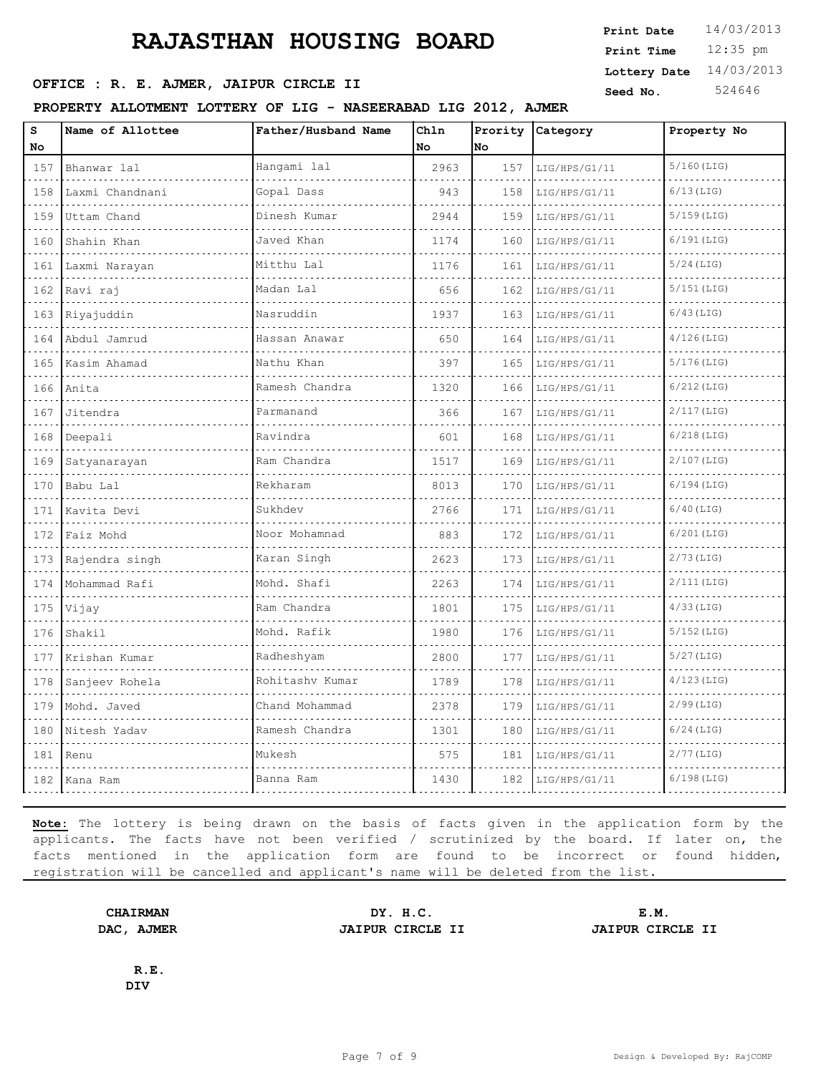### **OFFICE : R. E. AJMER, JAIPUR CIRCLE II** Seed No. 524646

#### **PROPERTY ALLOTMENT LOTTERY OF LIG - NASEERABAD LIG 2012, AJMER**

| s<br>No | Name of Allottee | Father/Husband Name                                           | Ch1n<br>No | No  | Prority Category | Property No   |
|---------|------------------|---------------------------------------------------------------|------------|-----|------------------|---------------|
| 157     | Bhanwar lal      | Hangami lal                                                   | 2963       | 157 | LIG/HPS/G1/11    | $5/160$ (LIG) |
| 158     | Laxmi Chandnani  | Gopal Dass                                                    | 943        | 158 | LIG/HPS/G1/11    | $6/13$ (LIG)  |
| 159     | Uttam Chand      | Dinesh Kumar                                                  | 2944       | 159 | LIG/HPS/G1/11    | $5/159$ (LIG) |
| 160     | Shahin Khan      | Javed Khan                                                    | 1174       | 160 | LIG/HPS/G1/11    | $6/191$ (LIG) |
| 161     | Laxmi Narayan    | Mitthu Lal                                                    | 1176       | 161 | LIG/HPS/G1/11    | $5/24$ (LIG)  |
| 162     | Ravi raj         | $\sim$ $\sim$ $\sim$ $\sim$ $\sim$ $\sim$ $\sim$<br>Madan Lal | 656        | 162 | LIG/HPS/G1/11    | 5/151 (LIG)   |
| 163     | Riyajuddin       | Nasruddin                                                     | 1937       | 163 | LIG/HPS/G1/11    | $6/43$ (LIG)  |
|         | 164 Abdul Jamrud | Hassan Anawar                                                 | 650        | 164 | LIG/HPS/G1/11    | $4/126$ (LIG) |
| 165     | Kasim Ahamad     | Nathu Khan                                                    | 397        | 165 | LIG/HPS/G1/11    | $5/176$ (LIG) |
| 166     | Anita            | Ramesh Chandra                                                | 1320       | 166 | LIG/HPS/G1/11    | $6/212$ (LIG) |
| 167     | Jitendra         | Parmanand                                                     | 366        | 167 | LIG/HPS/G1/11    | $2/117$ (LIG) |
| 168     | Deepali          | Ravindra                                                      | 601        | 168 | LIG/HPS/G1/11    | $6/218$ (LIG) |
| 169     | Satyanarayan     | Ram Chandra                                                   | 1517       | 169 | LIG/HPS/G1/11    | $2/107$ (LIG) |
| 170     | Babu Lal         | Rekharam                                                      | 8013       | 170 | LIG/HPS/G1/11    | $6/194$ (LIG) |
| 171     | Kavita Devi      | Sukhdev                                                       | 2766       | 171 | LIG/HPS/G1/11    | $6/40$ (LIG)  |
| 172     | Faiz Mohd        | Noor Mohamnad<br>december 2000 de                             | 883        | 172 | LIG/HPS/G1/11    | $6/201$ (LIG) |
| 173     | Rajendra singh   | Karan Singh                                                   | 2623       | 173 | LIG/HPS/G1/11    | $2/73$ (LIG)  |
| 174     | Mohammad Rafi    | Mohd. Shafi                                                   | 2263       | 174 | LIG/HPS/G1/11    | $2/111$ (LIG) |
| 175     | Vijay            | Ram Chandra                                                   | 1801       | 175 | LIG/HPS/G1/11    | $4/33$ (LIG)  |
| 176     | Shakil           | Mohd. Rafik                                                   | 1980       | 176 | LIG/HPS/G1/11    | $5/152$ (LIG) |
| 177     | Krishan Kumar    | Radheshyam                                                    | 2800       | 177 | LIG/HPS/G1/11    | $5/27$ (LIG)  |
| 178     | Sanjeev Rohela   | Rohitashv Kumar                                               | 1789       | 178 | LIG/HPS/G1/11    | $4/123$ (LIG) |
| 179     | Mohd. Javed      | Chand Mohammad                                                | 2378       | 179 | LIG/HPS/G1/11    | $2/99$ (LIG)  |
| 180     | Nitesh Yadav     | Ramesh Chandra                                                | 1301       | 180 | LIG/HPS/G1/11    | $6/24$ (LIG)  |
| 181     | Renu             | Mukesh                                                        | 575        | 181 | LIG/HPS/G1/11    | $2/77$ (LIG)  |
|         | 182 Kana Ram     | Banna Ram<br>.                                                | 1430       | 182 | LIG/HPS/G1/11    | $6/198$ (LIG) |
|         |                  |                                                               |            |     |                  |               |

**Note:** The lottery is being drawn on the basis of facts given in the application form by the applicants. The facts have not been verified / scrutinized by the board. If later on, the facts mentioned in the application form are found to be incorrect or found hidden, registration will be cancelled and applicant's name will be deleted from the list.

**CHAIRMAN DY. H.C. E.M.**

**DAC, AJMER JAIPUR CIRCLE II JAIPUR CIRCLE II**

**R.E. DIV**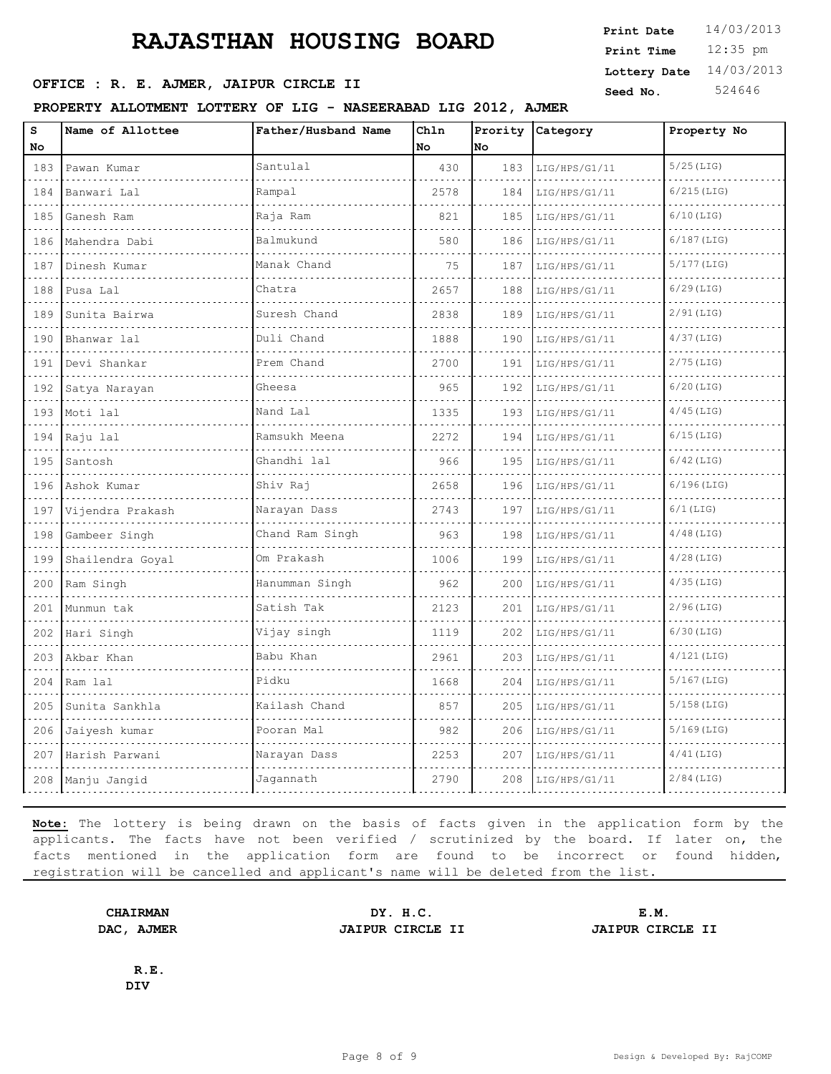### **OFFICE : R. E. AJMER, JAIPUR CIRCLE II** Seed No. 524646

#### **PROPERTY ALLOTMENT LOTTERY OF LIG - NASEERABAD LIG 2012, AJMER**

| $\mathtt{s}$                                                                                                                     | Name of Allottee | Father/Husband Name | Chln |     | Prority Category | Property No   |
|----------------------------------------------------------------------------------------------------------------------------------|------------------|---------------------|------|-----|------------------|---------------|
| No                                                                                                                               |                  |                     | No   | No  |                  |               |
| 183                                                                                                                              | Pawan Kumar      | Santulal            | 430  | 183 | LIG/HPS/G1/11    | $5/25$ (LIG)  |
| 184                                                                                                                              | Banwari Lal      | Rampal              | 2578 | 184 | LIG/HPS/G1/11    | $6/215$ (LIG) |
| 185<br>$\sim 100$ km s $^{-1}$                                                                                                   | Ganesh Ram       | Raja Ram            | 821  | 185 | LIG/HPS/G1/11    | $6/10$ (LIG)  |
| 186                                                                                                                              | Mahendra Dabi    | Balmukund           | 580  | 186 | LIG/HPS/G1/11    | $6/187$ (LIG) |
| 187<br>.                                                                                                                         | Dinesh Kumar     | Manak Chand         | 75   | 187 | LIG/HPS/G1/11    | $5/177$ (LIG) |
| 188<br>$\frac{1}{2} \left( \frac{1}{2} \right) \left( \frac{1}{2} \right) \left( \frac{1}{2} \right) \left( \frac{1}{2} \right)$ | Pusa Lal         | Chatra              | 2657 | 188 | LIG/HPS/G1/11    | $6/29$ (LIG)  |
| 189                                                                                                                              | Sunita Bairwa    | Suresh Chand        | 2838 | 189 | LIG/HPS/G1/11    | $2/91$ (LIG)  |
| 190                                                                                                                              | Bhanwar lal      | Duli Chand          | 1888 | 190 | LIG/HPS/G1/11    | $4/37$ (LIG)  |
| 191                                                                                                                              | Devi Shankar     | Prem Chand          | 2700 | 191 | LIG/HPS/G1/11    | $2/75$ (LIG)  |
| 192<br>$\sim$ $\sim$ $\sim$ $\sim$                                                                                               | Satya Narayan    | Gheesa              | 965  | 192 | LIG/HPS/G1/11    | $6/20$ (LIG)  |
| 193                                                                                                                              | Moti lal         | Nand Lal            | 1335 | 193 | LIG/HPS/G1/11    | $4/45$ (LIG)  |
| 194                                                                                                                              | Raju lal         | Ramsukh Meena       | 2272 | 194 | LIG/HPS/G1/11    | $6/15$ (LIG)  |
| 195<br>$\sim 100$ km s $^{-1}$                                                                                                   | Santosh          | Ghandhi lal         | 966  | 195 | LIG/HPS/G1/11    | $6/42$ (LIG)  |
| 196                                                                                                                              | Ashok Kumar      | Shiv Raj            | 2658 | 196 | LIG/HPS/G1/11    | $6/196$ (LIG) |
| 197                                                                                                                              | Vijendra Prakash | Narayan Dass        | 2743 | 197 | LIG/HPS/G1/11    | $6/1$ (LIG)   |
| 198                                                                                                                              | Gambeer Singh    | Chand Ram Singh     | 963  | 198 | LIG/HPS/G1/11    | $4/48$ (LIG)  |
| 199<br>$\cdots$                                                                                                                  | Shailendra Goyal | Om Prakash          | 1006 | 199 | LIG/HPS/G1/11    | $4/28$ (LIG)  |
| 200                                                                                                                              | Ram Singh        | Hanumman Singh      | 962  | 200 | LIG/HPS/G1/11    | $4/35$ (LIG)  |
| 201                                                                                                                              | Munmun tak       | Satish Tak          | 2123 | 201 | LIG/HPS/G1/11    | $2/96$ (LIG)  |
| 202                                                                                                                              | Hari Singh       | Vijay singh         | 1119 | 202 | LIG/HPS/G1/11    | $6/30$ (LIG)  |
| 203                                                                                                                              | Akbar Khan       | Babu Khan           | 2961 | 203 | LIG/HPS/G1/11    | $4/121$ (LIG) |
| 204                                                                                                                              | Ram lal          | Pidku               | 1668 | 204 | LIG/HPS/G1/11    | $5/167$ (LIG) |
| 205                                                                                                                              | Sunita Sankhla   | Kailash Chand       | 857  | 205 | LIG/HPS/G1/11    | $5/158$ (LIG) |
| 206                                                                                                                              | Jaiyesh kumar    | Pooran Mal          | 982  | 206 | LIG/HPS/G1/11    | $5/169$ (LIG) |
| 207                                                                                                                              | Harish Parwani   | Narayan Dass        | 2253 | 207 | LIG/HPS/G1/11    | $4/41$ (LIG)  |
| 208                                                                                                                              | Manju Jangid     | Jagannath           | 2790 | 208 | LIG/HPS/G1/11    | $2/84$ (LIG)  |
|                                                                                                                                  |                  |                     |      |     |                  |               |

**Note:** The lottery is being drawn on the basis of facts given in the application form by the applicants. The facts have not been verified / scrutinized by the board. If later on, the facts mentioned in the application form are found to be incorrect or found hidden, registration will be cancelled and applicant's name will be deleted from the list.

**DAC, AJMER JAIPUR CIRCLE II JAIPUR CIRCLE II**

**CHAIRMAN DY. H.C. E.M.**

**R.E. DIV**